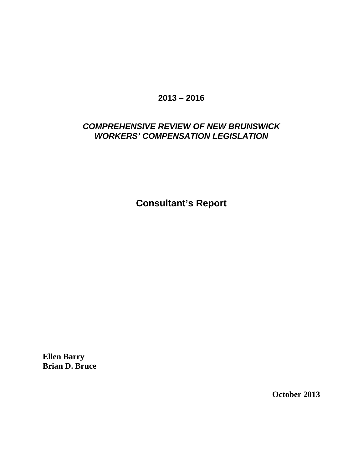## **2013 – 2016**

# *COMPREHENSIVE REVIEW OF NEW BRUNSWICK WORKERS' COMPENSATION LEGISLATION*

**Consultant's Report**

**Ellen Barry Brian D. Bruce**

**October 2013**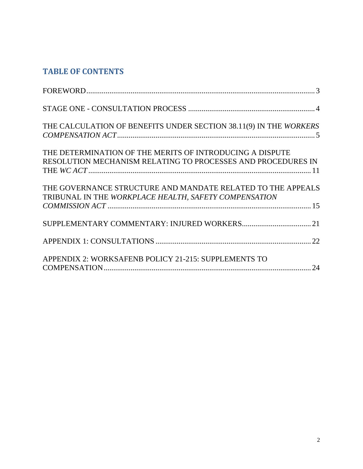# **TABLE OF CONTENTS**

| THE CALCULATION OF BENEFITS UNDER SECTION 38.11(9) IN THE WORKERS                                                        |  |
|--------------------------------------------------------------------------------------------------------------------------|--|
| THE DETERMINATION OF THE MERITS OF INTRODUCING A DISPUTE<br>RESOLUTION MECHANISM RELATING TO PROCESSES AND PROCEDURES IN |  |
| THE GOVERNANCE STRUCTURE AND MANDATE RELATED TO THE APPEALS<br>TRIBUNAL IN THE WORKPLACE HEALTH, SAFETY COMPENSATION     |  |
|                                                                                                                          |  |
|                                                                                                                          |  |
| APPENDIX 2: WORKSAFENB POLICY 21-215: SUPPLEMENTS TO                                                                     |  |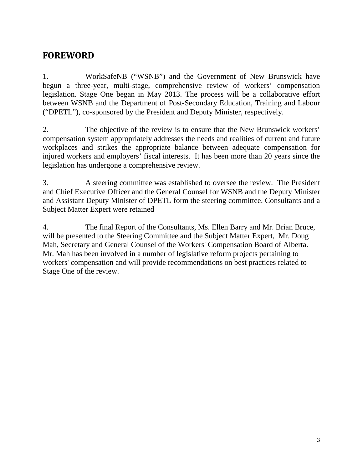# <span id="page-2-0"></span>**FOREWORD**

1. WorkSafeNB ("WSNB") and the Government of New Brunswick have begun a three-year, multi-stage, comprehensive review of workers' compensation legislation. Stage One began in May 2013. The process will be a collaborative effort between WSNB and the Department of Post-Secondary Education, Training and Labour ("DPETL"), co-sponsored by the President and Deputy Minister, respectively.

2. The objective of the review is to ensure that the New Brunswick workers' compensation system appropriately addresses the needs and realities of current and future workplaces and strikes the appropriate balance between adequate compensation for injured workers and employers' fiscal interests. It has been more than 20 years since the legislation has undergone a comprehensive review.

3. A steering committee was established to oversee the review. The President and Chief Executive Officer and the General Counsel for WSNB and the Deputy Minister and Assistant Deputy Minister of DPETL form the steering committee. Consultants and a Subject Matter Expert were retained

4. The final Report of the Consultants, Ms. Ellen Barry and Mr. Brian Bruce, will be presented to the Steering Committee and the Subject Matter Expert, Mr. Doug Mah, Secretary and General Counsel of the Workers' Compensation Board of Alberta. Mr. Mah has been involved in a number of legislative reform projects pertaining to workers' compensation and will provide recommendations on best practices related to Stage One of the review.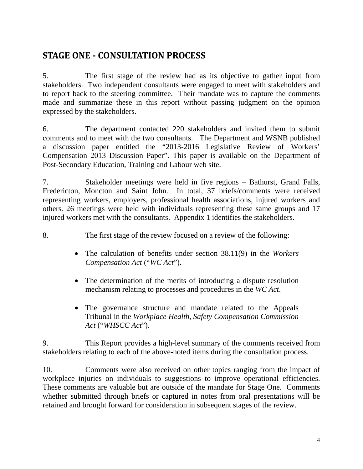# <span id="page-3-0"></span>**STAGE ONE - CONSULTATION PROCESS**

5. The first stage of the review had as its objective to gather input from stakeholders. Two independent consultants were engaged to meet with stakeholders and to report back to the steering committee. Their mandate was to capture the comments made and summarize these in this report without passing judgment on the opinion expressed by the stakeholders.

6. The department contacted 220 stakeholders and invited them to submit comments and to meet with the two consultants. The Department and WSNB published a discussion paper entitled the "2013-2016 Legislative Review of Workers' Compensation 2013 Discussion Paper". This paper is available on the Department of Post-Secondary Education, Training and Labour web site.

7. Stakeholder meetings were held in five regions – Bathurst, Grand Falls, Fredericton, Moncton and Saint John. In total, 37 briefs/comments were received representing workers, employers, professional health associations, injured workers and others. 26 meetings were held with individuals representing these same groups and 17 injured workers met with the consultants. Appendix 1 identifies the stakeholders.

8. The first stage of the review focused on a review of the following:

- The calculation of benefits under section 38.11(9) in the *Workers Compensation Act* ("*WC Act*").
- The determination of the merits of introducing a dispute resolution mechanism relating to processes and procedures in the *WC Act*.
- The governance structure and mandate related to the Appeals Tribunal in the *Workplace Health, Safety Compensation Commission Act* ("*WHSCC Act*").

9. This Report provides a high-level summary of the comments received from stakeholders relating to each of the above-noted items during the consultation process.

10. Comments were also received on other topics ranging from the impact of workplace injuries on individuals to suggestions to improve operational efficiencies. These comments are valuable but are outside of the mandate for Stage One. Comments whether submitted through briefs or captured in notes from oral presentations will be retained and brought forward for consideration in subsequent stages of the review.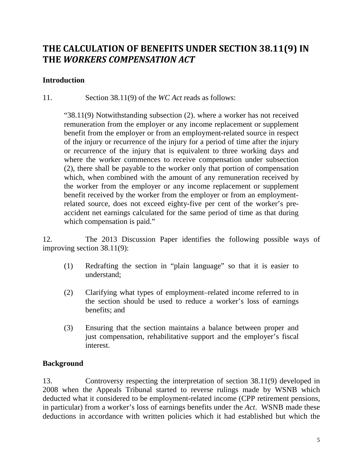# <span id="page-4-0"></span>**THE CALCULATION OF BENEFITS UNDER SECTION 38.11(9) IN THE** *WORKERS COMPENSATION ACT*

### **Introduction**

11. Section 38.11(9) of the *WC Act* reads as follows:

"38.11(9) Notwithstanding subsection (2). where a worker has not received remuneration from the employer or any income replacement or supplement benefit from the employer or from an employment-related source in respect of the injury or recurrence of the injury for a period of time after the injury or recurrence of the injury that is equivalent to three working days and where the worker commences to receive compensation under subsection (2), there shall be payable to the worker only that portion of compensation which, when combined with the amount of any remuneration received by the worker from the employer or any income replacement or supplement benefit received by the worker from the employer or from an employmentrelated source, does not exceed eighty-five per cent of the worker's preaccident net earnings calculated for the same period of time as that during which compensation is paid."

12. The 2013 Discussion Paper identifies the following possible ways of improving section 38.11(9):

- (1) Redrafting the section in "plain language" so that it is easier to understand;
- (2) Clarifying what types of employment–related income referred to in the section should be used to reduce a worker's loss of earnings benefits; and
- (3) Ensuring that the section maintains a balance between proper and just compensation, rehabilitative support and the employer's fiscal interest.

### **Background**

13. Controversy respecting the interpretation of section 38.11(9) developed in 2008 when the Appeals Tribunal started to reverse rulings made by WSNB which deducted what it considered to be employment-related income (CPP retirement pensions, in particular) from a worker's loss of earnings benefits under the *Act*. WSNB made these deductions in accordance with written policies which it had established but which the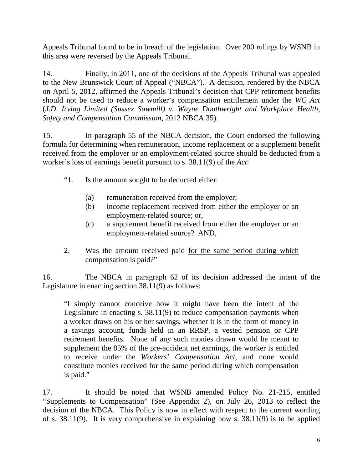Appeals Tribunal found to be in breach of the legislation. Over 200 rulings by WSNB in this area were reversed by the Appeals Tribunal.

14. Finally, in 2011, one of the decisions of the Appeals Tribunal was appealed to the New Brunswick Court of Appeal ("NBCA"). A decision, rendered by the NBCA on April 5, 2012, affirmed the Appeals Tribunal's decision that CPP retirement benefits should not be used to reduce a worker's compensation entitlement under the *WC Act* (*J.D. Irving Limited (Sussex Sawmill) v. Wayne Douthwright and Workplace Health, Safety and Compensation Commission*, 2012 NBCA 35).

15. In paragraph 55 of the NBCA decision, the Court endorsed the following formula for determining when remuneration, income replacement or a supplement benefit received from the employer or an employment-related source should be deducted from a worker's loss of earnings benefit pursuant to s. 38.11(9) of the *Act*:

- "1. Is the amount sought to be deducted either:
	- (a) remuneration received from the employer;
	- (b) income replacement received from either the employer or an employment-related source; or,
	- (c) a supplement benefit received from either the employer or an employment-related source? AND,
- 2. Was the amount received paid for the same period during which compensation is paid?"

16. The NBCA in paragraph 62 of its decision addressed the intent of the Legislature in enacting section 38.11(9) as follows:

"I simply cannot conceive how it might have been the intent of the Legislature in enacting s. 38.11(9) to reduce compensation payments when a worker draws on his or her savings, whether it is in the form of money in a savings account, funds held in an RRSP, a vested pension or CPP retirement benefits. None of any such monies drawn would be meant to supplement the 85% of the pre-accident net earnings, the worker is entitled to receive under the *Workers' Compensation Act*, and none would constitute monies received for the same period during which compensation is paid."

17. It should be noted that WSNB amended Policy No. 21-215, entitled "Supplements to Compensation" (See Appendix 2), on July 26, 2013 to reflect the decision of the NBCA. This Policy is now in effect with respect to the current wording of s. 38.11(9). It is very comprehensive in explaining how s. 38.11(9) is to be applied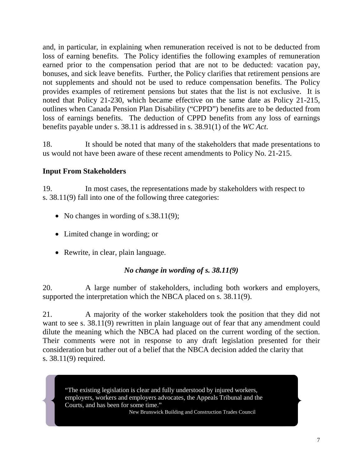and, in particular, in explaining when remuneration received is not to be deducted from loss of earning benefits. The Policy identifies the following examples of remuneration earned prior to the compensation period that are not to be deducted: vacation pay, bonuses, and sick leave benefits. Further, the Policy clarifies that retirement pensions are not supplements and should not be used to reduce compensation benefits. The Policy provides examples of retirement pensions but states that the list is not exclusive. It is noted that Policy 21-230, which became effective on the same date as Policy 21-215, outlines when Canada Pension Plan Disability ("CPPD") benefits are to be deducted from loss of earnings benefits. The deduction of CPPD benefits from any loss of earnings benefits payable under s. 38.11 is addressed in s. 38.91(1) of the *WC Act*.

18. It should be noted that many of the stakeholders that made presentations to us would not have been aware of these recent amendments to Policy No. 21-215.

## **Input From Stakeholders**

19. In most cases, the representations made by stakeholders with respect to s. 38.11(9) fall into one of the following three categories:

- No changes in wording of s.38.11(9);
- Limited change in wording; or
- Rewrite, in clear, plain language.

### *No change in wording of s. 38.11(9)*

20. A large number of stakeholders, including both workers and employers, supported the interpretation which the NBCA placed on s. 38.11(9).

21. A majority of the worker stakeholders took the position that they did not want to see s. 38.11(9) rewritten in plain language out of fear that any amendment could dilute the meaning which the NBCA had placed on the current wording of the section. Their comments were not in response to any draft legislation presented for their consideration but rather out of a belief that the NBCA decision added the clarity that s. 38.11(9) required.

"The existing legislation is clear and fully understood by injured workers, employers, workers and employers advocates, the Appeals Tribunal and the Courts, and has been for some time."

New Brunswick Building and Construction Trades Council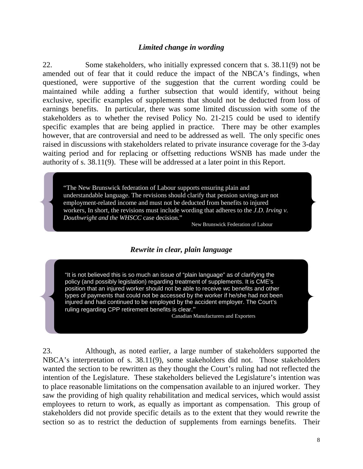### *Limited change in wording*

22. Some stakeholders, who initially expressed concern that s. 38.11(9) not be amended out of fear that it could reduce the impact of the NBCA's findings, when questioned, were supportive of the suggestion that the current wording could be maintained while adding a further subsection that would identify, without being exclusive, specific examples of supplements that should not be deducted from loss of earnings benefits. In particular, there was some limited discussion with some of the stakeholders as to whether the revised Policy No. 21-215 could be used to identify specific examples that are being applied in practice. There may be other examples however, that are controversial and need to be addressed as well. The only specific ones raised in discussions with stakeholders related to private insurance coverage for the 3-day waiting period and for replacing or offsetting reductions WSNB has made under the authority of s. 38.11(9). These will be addressed at a later point in this Report.

"The New Brunswick federation of Labour supports ensuring plain and understandable language. The revisions should clarify that pension savings are not employment-related income and must not be deducted from benefits to injured workers, In short, the revisions must include wording that adheres to the *J.D. Irving v. Douthwright and the WHSCC* case decision."

New Brunswick Federation of Labour

### *Rewrite in clear, plain language*

"It is not believed this is so much an issue of "plain language" as of clarifying the policy (and possibly legislation) regarding treatment of supplements. It is CME's position that an injured worker should not be able to receive wc benefits and other types of payments that could not be accessed by the worker if he/she had not been injured and had continued to be employed by the accident employer. The Court's ruling regarding CPP retirement benefits is clear."

Canadian Manufacturers and Exporters

23. Although, as noted earlier, a large number of stakeholders supported the NBCA's interpretation of s. 38.11(9), some stakeholders did not. Those stakeholders wanted the section to be rewritten as they thought the Court's ruling had not reflected the intention of the Legislature. These stakeholders believed the Legislature's intention was to place reasonable limitations on the compensation available to an injured worker. They saw the providing of high quality rehabilitation and medical services, which would assist employees to return to work, as equally as important as compensation. This group of stakeholders did not provide specific details as to the extent that they would rewrite the section so as to restrict the deduction of supplements from earnings benefits. Their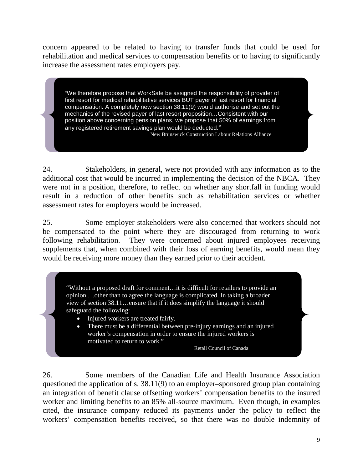concern appeared to be related to having to transfer funds that could be used for rehabilitation and medical services to compensation benefits or to having to significantly increase the assessment rates employers pay.

"We therefore propose that WorkSafe be assigned the responsibility of provider of first resort for medical rehabilitative services BUT payer of last resort for financial compensation. A completely new section 38.11(9) would authorise and set out the mechanics of the revised payer of last resort proposition…Consistent with our position above concerning pension plans, we propose that 50% of earnings from any registered retirement savings plan would be deducted."

New Brunswick Construction Labour Relations Alliance

24. Stakeholders, in general, were not provided with any information as to the additional cost that would be incurred in implementing the decision of the NBCA. They were not in a position, therefore, to reflect on whether any shortfall in funding would result in a reduction of other benefits such as rehabilitation services or whether assessment rates for employers would be increased.

25. Some employer stakeholders were also concerned that workers should not be compensated to the point where they are discouraged from returning to work following rehabilitation. They were concerned about injured employees receiving supplements that, when combined with their loss of earning benefits, would mean they would be receiving more money than they earned prior to their accident.

"Without a proposed draft for comment…it is difficult for retailers to provide an opinion …other than to agree the language is complicated. In taking a broader view of section 38.11…ensure that if it does simplify the language it should safeguard the following:

- Injured workers are treated fairly.
- There must be a differential between pre-injury earnings and an injured worker's compensation in order to ensure the injured workers is motivated to return to work."

Retail Council of Canada

26. Some members of the Canadian Life and Health Insurance Association questioned the application of s. 38.11(9) to an employer–sponsored group plan containing an integration of benefit clause offsetting workers' compensation benefits to the insured worker and limiting benefits to an 85% all-source maximum. Even though, in examples cited, the insurance company reduced its payments under the policy to reflect the workers' compensation benefits received, so that there was no double indemnity of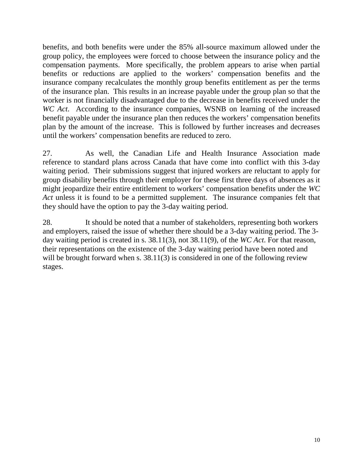benefits, and both benefits were under the 85% all-source maximum allowed under the group policy, the employees were forced to choose between the insurance policy and the compensation payments. More specifically, the problem appears to arise when partial benefits or reductions are applied to the workers' compensation benefits and the insurance company recalculates the monthly group benefits entitlement as per the terms of the insurance plan. This results in an increase payable under the group plan so that the worker is not financially disadvantaged due to the decrease in benefits received under the *WC Act*. According to the insurance companies, WSNB on learning of the increased benefit payable under the insurance plan then reduces the workers' compensation benefits plan by the amount of the increase. This is followed by further increases and decreases until the workers' compensation benefits are reduced to zero.

27. As well, the Canadian Life and Health Insurance Association made reference to standard plans across Canada that have come into conflict with this 3-day waiting period. Their submissions suggest that injured workers are reluctant to apply for group disability benefits through their employer for these first three days of absences as it might jeopardize their entire entitlement to workers' compensation benefits under the *WC Act* unless it is found to be a permitted supplement. The insurance companies felt that they should have the option to pay the 3-day waiting period.

28. It should be noted that a number of stakeholders, representing both workers and employers, raised the issue of whether there should be a 3-day waiting period. The 3 day waiting period is created in s. 38.11(3), not 38.11(9), of the *WC Act*. For that reason, their representations on the existence of the 3-day waiting period have been noted and will be brought forward when s. 38.11(3) is considered in one of the following review stages.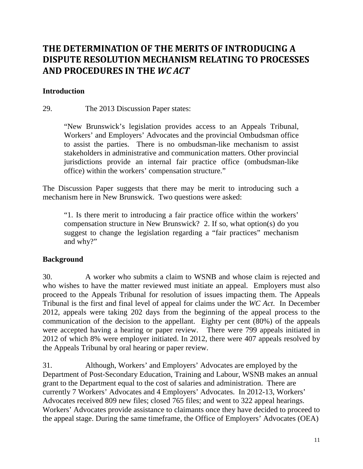# <span id="page-10-0"></span>**THE DETERMINATION OF THE MERITS OF INTRODUCING A DISPUTE RESOLUTION MECHANISM RELATING TO PROCESSES AND PROCEDURES IN THE** *WC ACT*

### **Introduction**

29. The 2013 Discussion Paper states:

"New Brunswick's legislation provides access to an Appeals Tribunal, Workers' and Employers' Advocates and the provincial Ombudsman office to assist the parties. There is no ombudsman-like mechanism to assist stakeholders in administrative and communication matters. Other provincial jurisdictions provide an internal fair practice office (ombudsman-like office) within the workers' compensation structure."

The Discussion Paper suggests that there may be merit to introducing such a mechanism here in New Brunswick. Two questions were asked:

"1. Is there merit to introducing a fair practice office within the workers' compensation structure in New Brunswick? 2. If so, what option(s) do you suggest to change the legislation regarding a "fair practices" mechanism and why?"

### **Background**

30. A worker who submits a claim to WSNB and whose claim is rejected and who wishes to have the matter reviewed must initiate an appeal. Employers must also proceed to the Appeals Tribunal for resolution of issues impacting them. The Appeals Tribunal is the first and final level of appeal for claims under the *WC Act*. In December 2012, appeals were taking 202 days from the beginning of the appeal process to the communication of the decision to the appellant. Eighty per cent (80%) of the appeals were accepted having a hearing or paper review. There were 799 appeals initiated in 2012 of which 8% were employer initiated. In 2012, there were 407 appeals resolved by the Appeals Tribunal by oral hearing or paper review.

31. Although, Workers' and Employers' Advocates are employed by the Department of Post-Secondary Education, Training and Labour, WSNB makes an annual grant to the Department equal to the cost of salaries and administration. There are currently 7 Workers' Advocates and 4 Employers' Advocates. In 2012-13, Workers' Advocates received 809 new files; closed 765 files; and went to 322 appeal hearings. Workers' Advocates provide assistance to claimants once they have decided to proceed to the appeal stage. During the same timeframe, the Office of Employers' Advocates (OEA)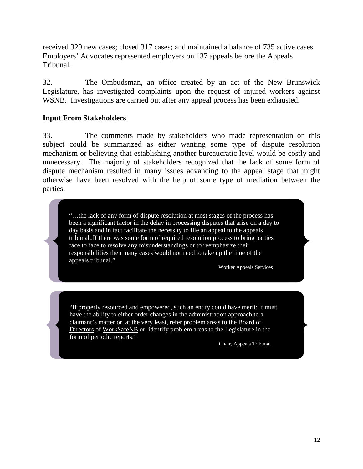received 320 new cases; closed 317 cases; and maintained a balance of 735 active cases. Employers' Advocates represented employers on 137 appeals before the Appeals Tribunal.

32. The Ombudsman, an office created by an act of the New Brunswick Legislature, has investigated complaints upon the request of injured workers against WSNB. Investigations are carried out after any appeal process has been exhausted.

### **Input From Stakeholders**

33. The comments made by stakeholders who made representation on this subject could be summarized as either wanting some type of dispute resolution mechanism or believing that establishing another bureaucratic level would be costly and unnecessary. The majority of stakeholders recognized that the lack of some form of dispute mechanism resulted in many issues advancing to the appeal stage that might otherwise have been resolved with the help of some type of mediation between the parties.

"…the lack of any form of dispute resolution at most stages of the process has been a significant factor in the delay in processing disputes that arise on a day to day basis and in fact facilitate the necessity to file an appeal to the appeals tribunal..If there was some form of required resolution process to bring parties face to face to resolve any misunderstandings or to reemphasize their responsibilities then many cases would not need to take up the time of the appeals tribunal."

Worker Appeals Services

"If properly resourced and empowered, such an entity could have merit: It must have the ability to either order changes in the administration approach to a claimant's matter or, at the very least, refer problem areas to the Board of Directors of WorkSafeNB or identify problem areas to the Legislature in the form of periodic reports."

Chair, Appeals Tribunal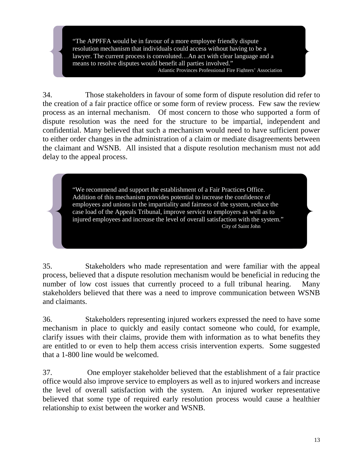"The APPFFA would be in favour of a more employee friendly dispute resolution mechanism that individuals could access without having to be a lawyer. The current process is convoluted…An act with clear language and a means to resolve disputes would benefit all parties involved." Atlantic Provinces Professional Fire Fighters' Association

34. Those stakeholders in favour of some form of dispute resolution did refer to the creation of a fair practice office or some form of review process. Few saw the review process as an internal mechanism. Of most concern to those who supported a form of dispute resolution was the need for the structure to be impartial, independent and confidential. Many believed that such a mechanism would need to have sufficient power to either order changes in the administration of a claim or mediate disagreements between the claimant and WSNB. All insisted that a dispute resolution mechanism must not add delay to the appeal process.

> "We recommend and support the establishment of a Fair Practices Office. Addition of this mechanism provides potential to increase the confidence of employees and unions in the impartiality and fairness of the system, reduce the case load of the Appeals Tribunal, improve service to employers as well as to injured employees and increase the level of overall satisfaction with the system." City of Saint John

35. Stakeholders who made representation and were familiar with the appeal process, believed that a dispute resolution mechanism would be beneficial in reducing the number of low cost issues that currently proceed to a full tribunal hearing. Many stakeholders believed that there was a need to improve communication between WSNB and claimants.

36. Stakeholders representing injured workers expressed the need to have some mechanism in place to quickly and easily contact someone who could, for example, clarify issues with their claims, provide them with information as to what benefits they are entitled to or even to help them access crisis intervention experts. Some suggested that a 1-800 line would be welcomed.

37. One employer stakeholder believed that the establishment of a fair practice office would also improve service to employers as well as to injured workers and increase the level of overall satisfaction with the system. An injured worker representative believed that some type of required early resolution process would cause a healthier relationship to exist between the worker and WSNB.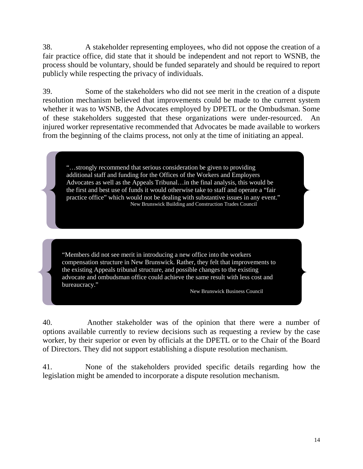38. A stakeholder representing employees, who did not oppose the creation of a fair practice office, did state that it should be independent and not report to WSNB, the process should be voluntary, should be funded separately and should be required to report publicly while respecting the privacy of individuals.

39. Some of the stakeholders who did not see merit in the creation of a dispute resolution mechanism believed that improvements could be made to the current system whether it was to WSNB, the Advocates employed by DPETL or the Ombudsman. Some of these stakeholders suggested that these organizations were under-resourced. An injured worker representative recommended that Advocates be made available to workers from the beginning of the claims process, not only at the time of initiating an appeal.

"…strongly recommend that serious consideration be given to providing additional staff and funding for the Offices of the Workers and Employers Advocates as well as the Appeals Tribunal…in the final analysis, this would be the first and best use of funds it would otherwise take to staff and operate a "fair practice office" which would not be dealing with substantive issues in any event." New Brunswick Building and Construction Trades Council

"Members did not see merit in introducing a new office into the workers compensation structure in New Brunswick. Rather, they felt that improvements to the existing Appeals tribunal structure, and possible changes to the existing advocate and ombudsman office could achieve the same result with less cost and bureaucracy."

New Brunswick Business Council

40. Another stakeholder was of the opinion that there were a number of options available currently to review decisions such as requesting a review by the case worker, by their superior or even by officials at the DPETL or to the Chair of the Board of Directors. They did not support establishing a dispute resolution mechanism.

41. None of the stakeholders provided specific details regarding how the legislation might be amended to incorporate a dispute resolution mechanism.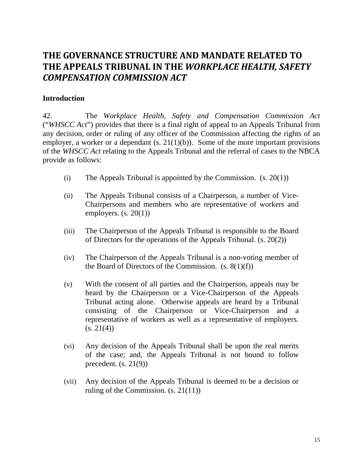# <span id="page-14-0"></span>**THE GOVERNANCE STRUCTURE AND MANDATE RELATED TO THE APPEALS TRIBUNAL IN THE** *WORKPLACE HEALTH, SAFETY COMPENSATION COMMISSION ACT*

### **Introduction**

42. The *Workplace Health, Safety and Compensation Commission Act* ("*WHSCC Act*") provides that there is a final right of appeal to an Appeals Tribunal from any decision, order or ruling of any officer of the Commission affecting the rights of an employer, a worker or a dependant  $(s. 21(1)(b))$ . Some of the more important provisions of the *WHSCC Act* relating to the Appeals Tribunal and the referral of cases to the NBCA provide as follows:

- (i) The Appeals Tribunal is appointed by the Commission.  $(s. 20(1))$
- (ii) The Appeals Tribunal consists of a Chairperson, a number of Vice-Chairpersons and members who are representative of workers and employers.  $(s. 20(1))$
- (iii) The Chairperson of the Appeals Tribunal is responsible to the Board of Directors for the operations of the Appeals Tribunal. (s. 20(2))
- (iv) The Chairperson of the Appeals Tribunal is a non-voting member of the Board of Directors of the Commission.  $(s, 8(1)(f))$
- (v) With the consent of all parties and the Chairperson, appeals may be heard by the Chairperson or a Vice-Chairperson of the Appeals Tribunal acting alone. Otherwise appeals are heard by a Tribunal consisting of the Chairperson or Vice-Chairperson and a representative of workers as well as a representative of employers.  $(s. 21(4))$
- (vi) Any decision of the Appeals Tribunal shall be upon the real merits of the case; and, the Appeals Tribunal is not bound to follow precedent.  $(s. 21(9))$
- (vii) Any decision of the Appeals Tribunal is deemed to be a decision or ruling of the Commission. (s. 21(11))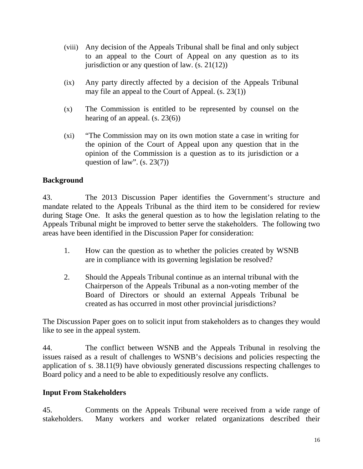- (viii) Any decision of the Appeals Tribunal shall be final and only subject to an appeal to the Court of Appeal on any question as to its jurisdiction or any question of law.  $(s. 21(12))$
- (ix) Any party directly affected by a decision of the Appeals Tribunal may file an appeal to the Court of Appeal. (s. 23(1))
- (x) The Commission is entitled to be represented by counsel on the hearing of an appeal. (s. 23(6))
- (xi) "The Commission may on its own motion state a case in writing for the opinion of the Court of Appeal upon any question that in the opinion of the Commission is a question as to its jurisdiction or a question of law". (s. 23(7))

## **Background**

43. The 2013 Discussion Paper identifies the Government's structure and mandate related to the Appeals Tribunal as the third item to be considered for review during Stage One. It asks the general question as to how the legislation relating to the Appeals Tribunal might be improved to better serve the stakeholders. The following two areas have been identified in the Discussion Paper for consideration:

- 1. How can the question as to whether the policies created by WSNB are in compliance with its governing legislation be resolved?
- 2. Should the Appeals Tribunal continue as an internal tribunal with the Chairperson of the Appeals Tribunal as a non-voting member of the Board of Directors or should an external Appeals Tribunal be created as has occurred in most other provincial jurisdictions?

The Discussion Paper goes on to solicit input from stakeholders as to changes they would like to see in the appeal system.

44. The conflict between WSNB and the Appeals Tribunal in resolving the issues raised as a result of challenges to WSNB's decisions and policies respecting the application of s. 38.11(9) have obviously generated discussions respecting challenges to Board policy and a need to be able to expeditiously resolve any conflicts.

## **Input From Stakeholders**

45. Comments on the Appeals Tribunal were received from a wide range of stakeholders. Many workers and worker related organizations described their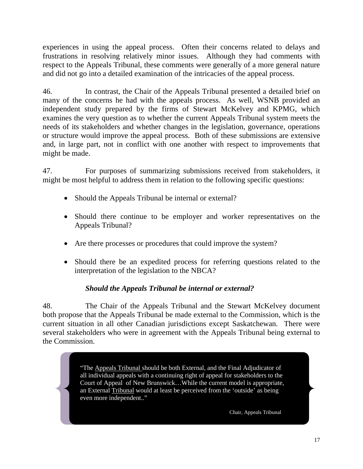experiences in using the appeal process. Often their concerns related to delays and frustrations in resolving relatively minor issues. Although they had comments with respect to the Appeals Tribunal, these comments were generally of a more general nature and did not go into a detailed examination of the intricacies of the appeal process.

46. In contrast, the Chair of the Appeals Tribunal presented a detailed brief on many of the concerns he had with the appeals process. As well, WSNB provided an independent study prepared by the firms of Stewart McKelvey and KPMG, which examines the very question as to whether the current Appeals Tribunal system meets the needs of its stakeholders and whether changes in the legislation, governance, operations or structure would improve the appeal process. Both of these submissions are extensive and, in large part, not in conflict with one another with respect to improvements that might be made.

47. For purposes of summarizing submissions received from stakeholders, it might be most helpful to address them in relation to the following specific questions:

- Should the Appeals Tribunal be internal or external?
- Should there continue to be employer and worker representatives on the Appeals Tribunal?
- Are there processes or procedures that could improve the system?
- Should there be an expedited process for referring questions related to the interpretation of the legislation to the NBCA?

## *Should the Appeals Tribunal be internal or external?*

48. The Chair of the Appeals Tribunal and the Stewart McKelvey document both propose that the Appeals Tribunal be made external to the Commission, which is the current situation in all other Canadian jurisdictions except Saskatchewan. There were several stakeholders who were in agreement with the Appeals Tribunal being external to the Commission.

> "The Appeals Tribunal should be both External, and the Final Adjudicator of all individual appeals with a continuing right of appeal for stakeholders to the Court of Appeal of New Brunswick…While the current model is appropriate, an External Tribunal would at least be perceived from the 'outside' as being even more independent.."

> > Chair, Appeals Tribunal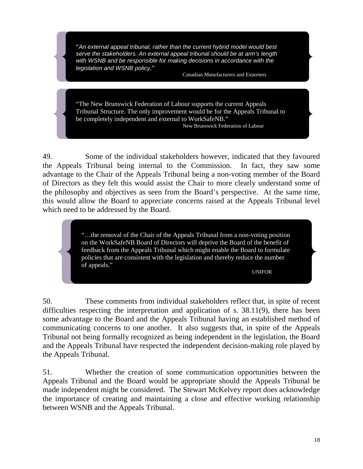"*An external appeal tribunal, rather than the current hybrid model would best serve the stakeholders. An external appeal tribunal should be at arm's length with WSNB and be responsible for making decisions in accordance with the legislation and WSNB policy*."

Canadian Manufacturers and Exporters

"The New Brunswick Federation of Labour supports the current Appeals Tribunal Structure. The only improvement would be for the Appeals Tribunal to be completely independent and external to WorkSafeNB." New Brunswick Federation of Labour

49. Some of the individual stakeholders however, indicated that they favoured the Appeals Tribunal being internal to the Commission. In fact, they saw some advantage to the Chair of the Appeals Tribunal being a non-voting member of the Board of Directors as they felt this would assist the Chair to more clearly understand some of the philosophy and objectives as seen from the Board's perspective. At the same time, this would allow the Board to appreciate concerns raised at the Appeals Tribunal level which need to be addressed by the Board.

> "…the removal of the Chair of the Appeals Tribunal from a non-voting position on the WorkSafeNB Board of Directors will deprive the Board of the benefit of feedback from the Appeals Tribunal which might enable the Board to formulate policies that are consistent with the legislation and thereby reduce the number of appeals."

UNIFOR

50. These comments from individual stakeholders reflect that, in spite of recent difficulties respecting the interpretation and application of s. 38.11(9), there has been some advantage to the Board and the Appeals Tribunal having an established method of communicating concerns to one another. It also suggests that, in spite of the Appeals Tribunal not being formally recognized as being independent in the legislation, the Board and the Appeals Tribunal have respected the independent decision-making role played by the Appeals Tribunal.

51. Whether the creation of some communication opportunities between the Appeals Tribunal and the Board would be appropriate should the Appeals Tribunal be made independent might be considered. The Stewart McKelvey report does acknowledge the importance of creating and maintaining a close and effective working relationship between WSNB and the Appeals Tribunal.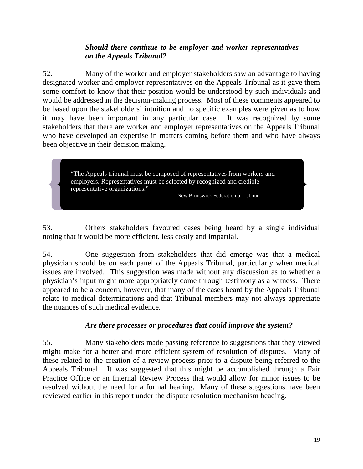### *Should there continue to be employer and worker representatives on the Appeals Tribunal?*

52. Many of the worker and employer stakeholders saw an advantage to having designated worker and employer representatives on the Appeals Tribunal as it gave them some comfort to know that their position would be understood by such individuals and would be addressed in the decision-making process. Most of these comments appeared to be based upon the stakeholders' intuition and no specific examples were given as to how it may have been important in any particular case. It was recognized by some stakeholders that there are worker and employer representatives on the Appeals Tribunal who have developed an expertise in matters coming before them and who have always been objective in their decision making.

> "The Appeals tribunal must be composed of representatives from workers and employers. Representatives must be selected by recognized and credible representative organizations."

New Brunswick Federation of Labour

53. Others stakeholders favoured cases being heard by a single individual noting that it would be more efficient, less costly and impartial.

54. One suggestion from stakeholders that did emerge was that a medical physician should be on each panel of the Appeals Tribunal, particularly when medical issues are involved. This suggestion was made without any discussion as to whether a physician's input might more appropriately come through testimony as a witness. There appeared to be a concern, however, that many of the cases heard by the Appeals Tribunal relate to medical determinations and that Tribunal members may not always appreciate the nuances of such medical evidence.

### *Are there processes or procedures that could improve the system?*

55. Many stakeholders made passing reference to suggestions that they viewed might make for a better and more efficient system of resolution of disputes. Many of these related to the creation of a review process prior to a dispute being referred to the Appeals Tribunal. It was suggested that this might be accomplished through a Fair Practice Office or an Internal Review Process that would allow for minor issues to be resolved without the need for a formal hearing. Many of these suggestions have been reviewed earlier in this report under the dispute resolution mechanism heading.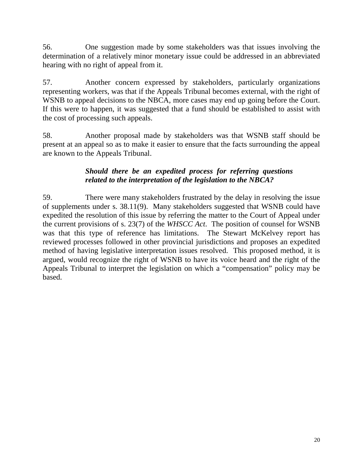56. One suggestion made by some stakeholders was that issues involving the determination of a relatively minor monetary issue could be addressed in an abbreviated hearing with no right of appeal from it.

57. Another concern expressed by stakeholders, particularly organizations representing workers, was that if the Appeals Tribunal becomes external, with the right of WSNB to appeal decisions to the NBCA, more cases may end up going before the Court. If this were to happen, it was suggested that a fund should be established to assist with the cost of processing such appeals.

58. Another proposal made by stakeholders was that WSNB staff should be present at an appeal so as to make it easier to ensure that the facts surrounding the appeal are known to the Appeals Tribunal.

## *Should there be an expedited process for referring questions related to the interpretation of the legislation to the NBCA?*

59. There were many stakeholders frustrated by the delay in resolving the issue of supplements under s. 38.11(9). Many stakeholders suggested that WSNB could have expedited the resolution of this issue by referring the matter to the Court of Appeal under the current provisions of s. 23(7) of the *WHSCC Act*. The position of counsel for WSNB was that this type of reference has limitations. The Stewart McKelvey report has reviewed processes followed in other provincial jurisdictions and proposes an expedited method of having legislative interpretation issues resolved. This proposed method, it is argued, would recognize the right of WSNB to have its voice heard and the right of the Appeals Tribunal to interpret the legislation on which a "compensation" policy may be based.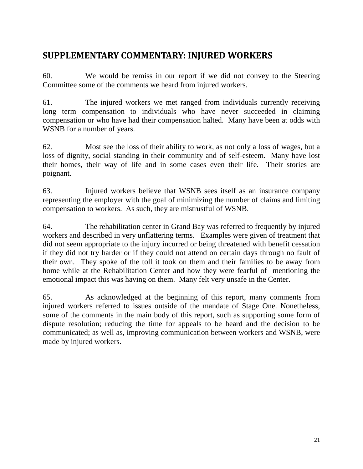# <span id="page-20-0"></span>**SUPPLEMENTARY COMMENTARY: INJURED WORKERS**

60. We would be remiss in our report if we did not convey to the Steering Committee some of the comments we heard from injured workers.

61. The injured workers we met ranged from individuals currently receiving long term compensation to individuals who have never succeeded in claiming compensation or who have had their compensation halted. Many have been at odds with WSNB for a number of years.

62. Most see the loss of their ability to work, as not only a loss of wages, but a loss of dignity, social standing in their community and of self-esteem. Many have lost their homes, their way of life and in some cases even their life. Their stories are poignant.

63. Injured workers believe that WSNB sees itself as an insurance company representing the employer with the goal of minimizing the number of claims and limiting compensation to workers. As such, they are mistrustful of WSNB.

64. The rehabilitation center in Grand Bay was referred to frequently by injured workers and described in very unflattering terms. Examples were given of treatment that did not seem appropriate to the injury incurred or being threatened with benefit cessation if they did not try harder or if they could not attend on certain days through no fault of their own. They spoke of the toll it took on them and their families to be away from home while at the Rehabilitation Center and how they were fearful of mentioning the emotional impact this was having on them. Many felt very unsafe in the Center.

65. As acknowledged at the beginning of this report, many comments from injured workers referred to issues outside of the mandate of Stage One. Nonetheless, some of the comments in the main body of this report, such as supporting some form of dispute resolution; reducing the time for appeals to be heard and the decision to be communicated; as well as, improving communication between workers and WSNB, were made by injured workers.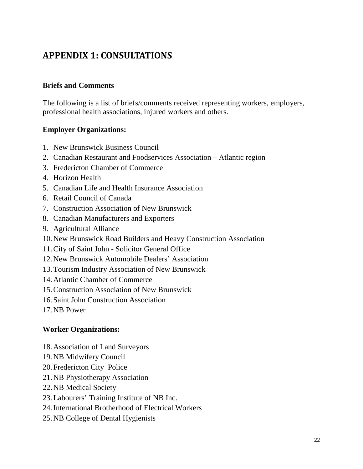# <span id="page-21-0"></span>**APPENDIX 1: CONSULTATIONS**

### **Briefs and Comments**

The following is a list of briefs/comments received representing workers, employers, professional health associations, injured workers and others.

### **Employer Organizations:**

- 1. New Brunswick Business Council
- 2. Canadian Restaurant and Foodservices Association Atlantic region
- 3. Fredericton Chamber of Commerce
- 4. Horizon Health
- 5. Canadian Life and Health Insurance Association
- 6. Retail Council of Canada
- 7. Construction Association of New Brunswick
- 8. Canadian Manufacturers and Exporters
- 9. Agricultural Alliance
- 10.New Brunswick Road Builders and Heavy Construction Association
- 11.City of Saint John Solicitor General Office
- 12.New Brunswick Automobile Dealers' Association
- 13.Tourism Industry Association of New Brunswick
- 14.Atlantic Chamber of Commerce
- 15.Construction Association of New Brunswick
- 16. Saint John Construction Association
- 17.NB Power

### **Worker Organizations:**

- 18.Association of Land Surveyors
- 19.NB Midwifery Council
- 20.Fredericton City Police
- 21.NB Physiotherapy Association
- 22.NB Medical Society
- 23.Labourers' Training Institute of NB Inc.
- 24.International Brotherhood of Electrical Workers
- 25.NB College of Dental Hygienists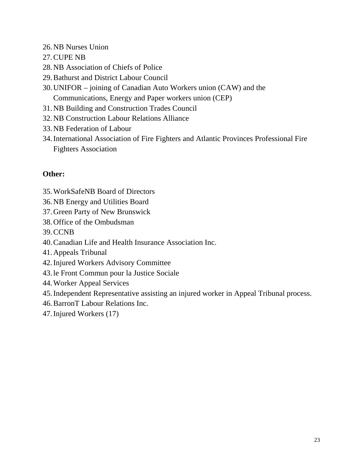- 26.NB Nurses Union
- 27.CUPE NB
- 28.NB Association of Chiefs of Police
- 29.Bathurst and District Labour Council
- 30.UNIFOR joining of Canadian Auto Workers union (CAW) and the Communications, Energy and Paper workers union (CEP)
- 31.NB Building and Construction Trades Council
- 32.NB Construction Labour Relations Alliance
- 33.NB Federation of Labour
- 34.International Association of Fire Fighters and Atlantic Provinces Professional Fire Fighters Association

## **Other:**

- 35.WorkSafeNB Board of Directors
- 36.NB Energy and Utilities Board
- 37.Green Party of New Brunswick
- 38.Office of the Ombudsman
- 39.CCNB
- 40.Canadian Life and Health Insurance Association Inc.
- 41.Appeals Tribunal
- 42.Injured Workers Advisory Committee
- 43.le Front Commun pour la Justice Sociale
- 44.Worker Appeal Services
- 45.Independent Representative assisting an injured worker in Appeal Tribunal process.
- 46.BarronT Labour Relations Inc.
- 47.Injured Workers (17)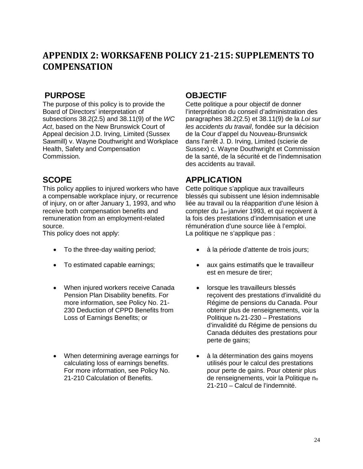# <span id="page-23-0"></span>**APPENDIX 2: WORKSAFENB POLICY 21-215: SUPPLEMENTS TO COMPENSATION**

The purpose of this policy is to provide the Board of Directors' interpretation of subsections 38.2(2.5) and 38.11(9) of the *WC Act*, based on the New Brunswick Court of Appeal decision J.D. Irving, Limited (Sussex Sawmill) v. Wayne Douthwright and Workplace Health, Safety and Compensation Commission.

This policy applies to injured workers who have a compensable workplace injury, or recurrence of injury, on or after January 1, 1993, and who receive both compensation benefits and remuneration from an employment-related

source.<br>This policy does not apply:

- 
- 
- When injured workers receive Canada Pension Plan Disability benefits. For more information, see Policy No. 21- 230 Deduction of CPPD Benefits from Loss of Earnings Benefits; or
- When determining average earnings for calculating loss of earnings benefits. For more information, see Policy No. 21-210 Calculation of Benefits.

## **PURPOSE OBJECTIF**

Cette politique a pour objectif de donner l'interprétation du conseil d'administration des paragraphes 38.2(2.5) et 38.11(9) de la *Loi sur les accidents du travail*, fondée sur la décision de la Cour d'appel du Nouveau-Brunswick dans l'arrêt J. D. Irving, Limited (scierie de Sussex) c. Wayne Douthwright et Commission de la santé, de la sécurité et de l'indemnisation des accidents au travail.

# SCOPE APPLICATION

Cette politique s'applique aux travailleurs blessés qui subissent une lésion indemnisable liée au travail ou la réapparition d'une lésion à compter du 1er janvier 1993, et qui reçoivent à la fois des prestations d'indemnisation et une rémunération d'une source liée à l'emploi. La politique ne s'applique pas :

- To the three-day waiting period; à la période d'attente de trois jours;
- To estimated capable earnings; aux gains estimatifs que le travailleur est en mesure de tirer;
	- lorsque les travailleurs blessés reçoivent des prestations d'invalidité du Régime de pensions du Canada. Pour obtenir plus de renseignements, voir la Politique no 21-230 – Prestations d'invalidité du Régime de pensions du Canada déduites des prestations pour perte de gains;
	- à la détermination des gains moyens utilisés pour le calcul des prestations pour perte de gains. Pour obtenir plus de renseignements, voir la Politique no 21-210 – Calcul de l'indemnité.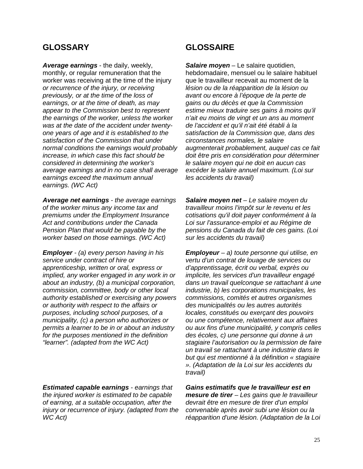*Average earnings* - the daily, weekly, monthly, or regular remuneration that the worker was receiving at the time of the injury *or recurrence of the injury, or receiving previously, or at the time of the loss of earnings, or at the time of death, as may appear to the Commission best to represent the earnings of the worker, unless the worker was at the date of the accident under twentyone years of age and it is established to the satisfaction of the Commission that under normal conditions the earnings would probably increase, in which case this fact should be considered in determining the worker's average earnings and in no case shall average earnings exceed the maximum annual earnings. (WC Act)* 

*Average net earnings - the average earnings of the worker minus any income tax and premiums under the Employment Insurance Act and contributions under the Canada Pension Plan that would be payable by the worker based on those earnings. (WC Act)* 

*Employer - (a) every person having in his service under contract of hire or apprenticeship, written or oral, express or implied, any worker engaged in any work in or about an industry, (b) a municipal corporation, commission, committee, body or other local authority established or exercising any powers or authority with respect to the affairs or purposes, including school purposes, of a municipality, (c) a person who authorizes or permits a learner to be in or about an industry for the purposes mentioned in the definition "learner". (adapted from the WC Act)* 

*Estimated capable earnings - earnings that the injured worker is estimated to be capable of earning, at a suitable occupation, after the injury or recurrence of injury. (adapted from the WC Act)* 

## **GLOSSARY GLOSSAIRE**

*Salaire moyen* – Le salaire quotidien, hebdomadaire, mensuel ou le salaire habituel que le travailleur recevait au moment de la *lésion ou de la réapparition de la lésion ou avant ou encore à l'époque de la perte de gains ou du décès et que la Commission estime mieux traduire ses gains à moins qu'il n'ait eu moins de vingt et un ans au moment de l'accident et qu'il n'ait été établi à la satisfaction de la Commission que, dans des circonstances normales, le salaire augmenterait probablement, auquel cas ce fait doit être pris en considération pour déterminer le salaire moyen qui ne doit en aucun cas excéder le salaire annuel maximum. (Loi sur les accidents du travail)* 

*Salaire moyen net – Le salaire moyen du travailleur moins l'impôt sur le revenu et les cotisations qu'il doit payer conformément à la Loi sur l'assurance-emploi et au Régime de pensions du Canada du fait de ces gains. (Loi sur les accidents du travail)* 

*Employeur – a) toute personne qui utilise, en vertu d'un contrat de louage de services ou d'apprentissage, écrit ou verbal, exprès ou implicite, les services d'un travailleur engagé dans un travail quelconque se rattachant à une industrie, b) les corporations municipales, les commissions, comités et autres organismes des municipalités ou les autres autorités locales, constitués ou exerçant des pouvoirs ou une compétence, relativement aux affaires ou aux fins d'une municipalité, y compris celles des écoles, c) une personne qui donne à un stagiaire l'autorisation ou la permission de faire un travail se rattachant à une industrie dans le but qui est mentionné à la définition « stagiaire ». (Adaptation de la Loi sur les accidents du travail)* 

*Gains estimatifs que le travailleur est en mesure de tirer – Les gains que le travailleur devrait être en mesure de tirer d'un emploi convenable après avoir subi une lésion ou la réapparition d'une lésion. (Adaptation de la Loi*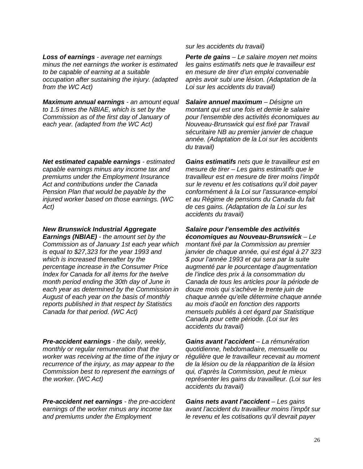*Loss of earnings - average net earnings minus the net earnings the worker is estimated to be capable of earning at a suitable occupation after sustaining the injury. (adapted from the WC Act)* 

*Maximum annual earnings - an amount equal to 1.5 times the NBIAE, which is set by the Commission as of the first day of January of each year. (adapted from the WC Act)* 

*Net estimated capable earnings - estimated capable earnings minus any income tax and premiums under the Employment Insurance Act and contributions under the Canada Pension Plan that would be payable by the injured worker based on those earnings. (WC Act)* 

*New Brunswick Industrial Aggregate Earnings (NBIAE) - the amount set by the Commission as of January 1st each year which is equal to \$27,323 for the year 1993 and which is increased thereafter by the percentage increase in the Consumer Price Index for Canada for all items for the twelve month period ending the 30th day of June in each year as determined by the Commission in August of each year on the basis of monthly reports published in that respect by Statistics Canada for that period. (WC Act)* 

*Pre-accident earnings - the daily, weekly, monthly or regular remuneration that the worker was receiving at the time of the injury or recurrence of the injury, as may appear to the Commission best to represent the earnings of the worker. (WC Act)* 

*Pre-accident net earnings - the pre-accident earnings of the worker minus any income tax and premiums under the Employment* 

*sur les accidents du travail)* 

*Perte de gains – Le salaire moyen net moins les gains estimatifs nets que le travailleur est en mesure de tirer d'un emploi convenable après avoir subi une lésion. (Adaptation de la Loi sur les accidents du travail)* 

*Salaire annuel maximum – Désigne un montant qui est une fois et demie le salaire pour l'ensemble des activités économiques au Nouveau-Brunswick qui est fixé par Travail sécuritaire NB au premier janvier de chaque année. (Adaptation de la Loi sur les accidents du travail)* 

*Gains estimatifs nets que le travailleur est en mesure de tirer – Les gains estimatifs que le travailleur est en mesure de tirer moins l'impôt sur le revenu et les cotisations qu'il doit payer conformément à la Loi sur l'assurance-emploi et au Régime de pensions du Canada du fait de ces gains. (Adaptation de la Loi sur les accidents du travail)* 

*Salaire pour l'ensemble des activités économiques au Nouveau-Brunswick – Le montant fixé par la Commission au premier janvier de chaque année, qui est égal à 27 323 \$ pour l'année 1993 et qui sera par la suite augmenté par le pourcentage d'augmentation de l'indice des prix à la consommation du Canada de tous les articles pour la période de douze mois qui s'achève le trente juin de chaque année qu'elle détermine chaque année au mois d'août en fonction des rapports mensuels publiés à cet égard par Statistique Canada pour cette période. (Loi sur les accidents du travail)* 

*Gains avant l'accident – La rémunération quotidienne, hebdomadaire, mensuelle ou régulière que le travailleur recevait au moment de la lésion ou de la réapparition de la lésion qui, d'après la Commission, peut le mieux représenter les gains du travailleur. (Loi sur les accidents du travail)* 

*Gains nets avant l'accident – Les gains avant l'accident du travailleur moins l'impôt sur le revenu et les cotisations qu'il devrait payer*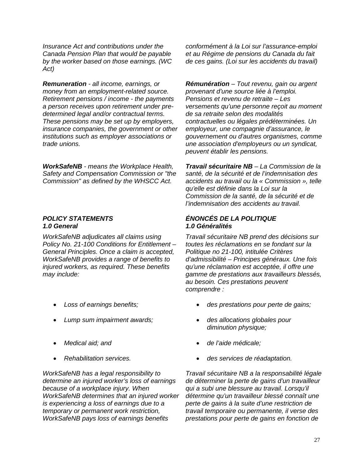*Insurance Act and contributions under the Canada Pension Plan that would be payable by the worker based on those earnings. (WC Act)* 

*Remuneration - all income, earnings, or money from an employment-related source. Retirement pensions / income - the payments a person receives upon retirement under predetermined legal and/or contractual terms. These pensions may be set up by employers, insurance companies, the government or other institutions such as employer associations or trade unions.* 

*WorkSafeNB - means the Workplace Health, Safety and Compensation Commission or "the Commission" as defined by the WHSCC Act.* 

*WorkSafeNB adjudicates all claims using Policy No. 21-100 Conditions for Entitlement – General Principles. Once a claim is accepted, WorkSafeNB provides a range of benefits to injured workers, as required. These benefits may include:* 

- 
- *Lump sum impairment awards; des allocations globales pour*
- 
- 

*WorkSafeNB has a legal responsibility to determine an injured worker's loss of earnings because of a workplace injury. When WorkSafeNB determines that an injured worker is experiencing a loss of earnings due to a temporary or permanent work restriction, WorkSafeNB pays loss of earnings benefits* 

*conformément à la Loi sur l'assurance-emploi et au Régime de pensions du Canada du fait de ces gains. (Loi sur les accidents du travail)* 

*Rémunération – Tout revenu, gain ou argent provenant d'une source liée à l'emploi. Pensions et revenu de retraite – Les versements qu'une personne reçoit au moment de sa retraite selon des modalités contractuelles ou légales prédéterminées. Un employeur, une compagnie d'assurance, le gouvernement ou d'autres organismes, comme une association d'employeurs ou un syndicat, peuvent établir les pensions.* 

*Travail sécuritaire NB – La Commission de la santé, de la sécurité et de l'indemnisation des accidents au travail ou la « Commission », telle qu'elle est définie dans la Loi sur la Commission de la santé, de la sécurité et de l'indemnisation des accidents au travail.* 

### *POLICY STATEMENTS ÉNONCÉS DE LA POLITIQUE 1.0 General 1.0 Généralités*

*Travail sécuritaire NB prend des décisions sur toutes les réclamations en se fondant sur la Politique no 21-100, intitulée Critères d'admissibilité – Principes généraux. Une fois qu'une réclamation est acceptée, il offre une gamme de prestations aux travailleurs blessés, au besoin. Ces prestations peuvent comprendre :* 

- *Loss of earnings benefits; des prestations pour perte de gains;* 
	- *diminution physique;*
- *Medical aid; and de l'aide médicale;* 
	- *Rehabilitation services. des services de réadaptation.*

*Travail sécuritaire NB a la responsabilité légale de déterminer la perte de gains d'un travailleur qui a subi une blessure au travail. Lorsqu'il détermine qu'un travailleur blessé connaît une perte de gains à la suite d'une restriction de travail temporaire ou permanente, il verse des prestations pour perte de gains en fonction de*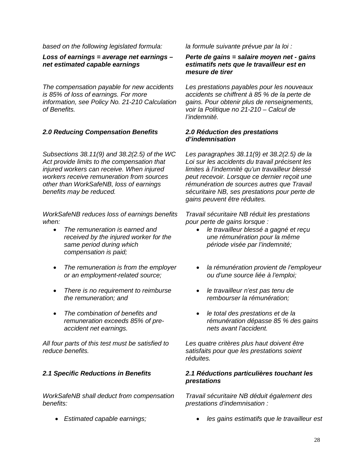*based on the following legislated formula: la formule suivante prévue par la loi :* 

*Loss of earnings = average net earnings – net estimated capable earnings* 

*The compensation payable for new accidents is 85% of loss of earnings. For more information, see Policy No. 21-210 Calculation of Benefits.* 

### *2.0 Reducing Compensation Benefits 2.0 Réduction des prestations*

*Subsections 38.11(9) and 38.2(2.5) of the WC Act provide limits to the compensation that injured workers can receive. When injured workers receive remuneration from sources other than WorkSafeNB, loss of earnings benefits may be reduced.* 

*WorkSafeNB reduces loss of earnings benefits when:* 

- *The remuneration is earned and received by the injured worker for the same period during which compensation is paid;*
- *The remuneration is from the employer or an employment-related source;*
- *There is no requirement to reimburse the remuneration; and*
- *The combination of benefits and remuneration exceeds 85% of preaccident net earnings.*

*All four parts of this test must be satisfied to reduce benefits.* 

*WorkSafeNB shall deduct from compensation benefits:* 

#### *Perte de gains = salaire moyen net - gains estimatifs nets que le travailleur est en mesure de tirer*

*Les prestations payables pour les nouveaux accidents se chiffrent à 85 % de la perte de gains. Pour obtenir plus de renseignements, voir la Politique no 21-210 – Calcul de l'indemnité.*

# *d'indemnisation*

*Les paragraphes 38.11(9) et 38.2(2.5) de la Loi sur les accidents du travail précisent les limites à l'indemnité qu'un travailleur blessé peut recevoir. Lorsque ce dernier reçoit une rémunération de sources autres que Travail sécuritaire NB, ses prestations pour perte de gains peuvent être réduites.* 

*Travail sécuritaire NB réduit les prestations pour perte de gains lorsque :* 

- *le travailleur blessé a gagné et reçu une rémunération pour la même période visée par l'indemnité;*
- *la rémunération provient de l'employeur ou d'une source liée à l'emploi;*
- *le travailleur n'est pas tenu de rembourser la rémunération;*
- *le total des prestations et de la rémunération dépasse 85 % des gains nets avant l'accident.*

*Les quatre critères plus haut doivent être satisfaits pour que les prestations soient réduites.* 

#### *2.1 Specific Reductions in Benefits 2.1 Réductions particulières touchant les prestations*

*Travail sécuritaire NB déduit également des prestations d'indemnisation :* 

• *Estimated capable earnings;* • *les gains estimatifs que le travailleur est*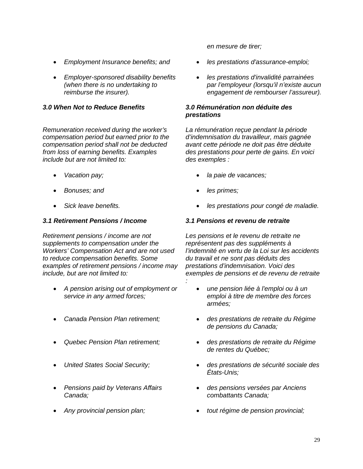- *Employment Insurance benefits; and les prestations d'assurance-emploi;*
- *Employer-sponsored disability benefits (when there is no undertaking to reimburse the insurer).*

*Remuneration received during the worker's compensation period but earned prior to the compensation period shall not be deducted from loss of earning benefits. Examples include but are not limited to:* 

- 
- 
- 

### *3.1 Retirement Pensions / Income 3.1 Pensions et revenu de retraite*

*Retirement pensions / income are not supplements to compensation under the Workers' Compensation Act and are not used to reduce compensation benefits. Some examples of retirement pensions / income may include, but are not limited to:* 

- *A pension arising out of employment or service in any armed forces;*
- 
- 
- 
- *Pensions paid by Veterans Affairs Canada;*
- 

*en mesure de tirer;* 

- 
- *les prestations d'invalidité parrainées par l'employeur (lorsqu'il n'existe aucun engagement de rembourser l'assureur).*

#### *3.0 When Not to Reduce Benefits 3.0 Rémunération non déduite des prestations*

*La rémunération reçue pendant la période d'indemnisation du travailleur, mais gagnée avant cette période ne doit pas être déduite des prestations pour perte de gains. En voici des exemples :* 

- *Vacation pay; la paie de vacances;*
- *Bonuses; and les primes;*

*:* 

• *Sick leave benefits.* • *les prestations pour congé de maladie.* 

*Les pensions et le revenu de retraite ne représentent pas des suppléments à l'indemnité en vertu de la Loi sur les accidents du travail et ne sont pas déduits des prestations d'indemnisation. Voici des exemples de pensions et de revenu de retraite* 

- *une pension liée à l'emploi ou à un emploi à titre de membre des forces armées;*
- *Canada Pension Plan retirement; des prestations de retraite du Régime de pensions du Canada;* 
	- *Quebec Pension Plan retirement; des prestations de retraite du Régime de rentes du Québec;*
- *United States Social Security; des prestations de sécurité sociale des États-Unis;* 
	- *des pensions versées par Anciens combattants Canada;*
	- *Any provincial pension plan; tout régime de pension provincial;*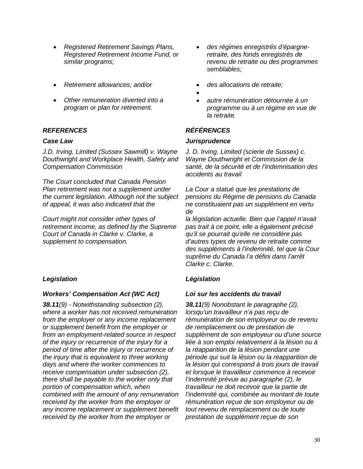- *Registered Retirement Savings Plans, Registered Retirement Income Fund, or similar programs;*
- *Retirement allowances; and/or*
- *Other remuneration diverted into a program or plan for retirement.*

### *REFERENCES RÉFÉRENCES*

*J.D. Irving, Limited (Sussex Sawmill) v. Wayne Douthwright and Workplace Health, Safety and Compensation Commission* 

*The Court concluded that Canada Pension Plan retirement was not a supplement under the current legislation. Although not the subject of appeal, it was also indicated that the* 

*Court might not consider other types of retirement income, as defined by the Supreme Court of Canada in Clarke v. Clarke, a supplement to compensation.* 

#### *Workers' Compensation Act (WC Act) Loi sur les accidents du travail*

*38.11(9) - Notwithstanding subsection (2), where a worker has not received remuneration from the employer or any income replacement or supplement benefit from the employer or from an employment-related source in respect of the injury or recurrence of the injury for a period of time after the injury or recurrence of the injury that is equivalent to three working days and where the worker commences to receive compensation under subsection (2), there shall be payable to the worker only that portion of compensation which, when combined with the amount of any remuneration received by the worker from the employer or any income replacement or supplement benefit received by the worker from the employer or* 

- *des régimes enregistrés d'épargneretraite, des fonds enregistrés de revenu de retraite ou des programmes semblables;*
- *des allocations de retraite;*
- •
- *autre rémunération détournée à un programme ou à un régime en vue de la retraite.*

#### *Case Law Jurisprudence*

*J. D. Irving, Limited (scierie de Sussex) c. Wayne Douthwright et Commission de la santé, de la sécurité et de l'indemnisation des accidents au travail* 

*La Cour a statué que les prestations de pensions du Régime de pensions du Canada ne constituaient pas un supplément en vertu de* 

*la législation actuelle. Bien que l'appel n'avait pas trait à ce point, elle a également précisé qu'il se pourrait qu'elle ne considère pas d'autres types de revenu de retraite comme des suppléments à l'indemnité, tel que la Cour suprême du Canada l'a défini dans l'arrêt Clarke c. Clarke.* 

### *Legislation Législation*

*38.11(9) Nonobstant le paragraphe (2), lorsqu'un travailleur n'a pas reçu de rémunération de son employeur ou de revenu de remplacement ou de prestation de supplément de son employeur ou d'une source liée à son emploi relativement à la lésion ou à la réapparition de la lésion pendant une période qui suit la lésion ou la réapparition de la lésion qui correspond à trois jours de travail et lorsque le travailleur commence à recevoir l'indemnité prévue au paragraphe (2), le travailleur ne doit recevoir que la partie de l'indemnité qui, combinée au montant de toute rémunération reçue de son employeur ou de tout revenu de remplacement ou de toute prestation de supplément reçue de son*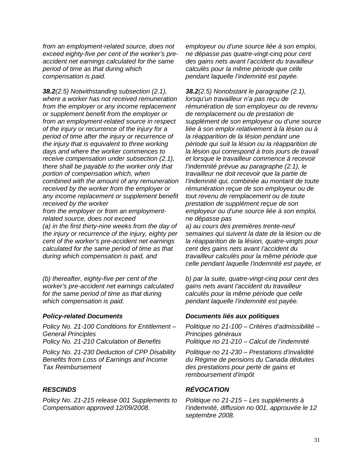*from an employment-related source, does not exceed eighty-five per cent of the worker's preaccident net earnings calculated for the same period of time as that during which compensation is paid.* 

*38.2(2.5) Notwithstanding subsection (2.1), where a worker has not received remuneration from the employer or any income replacement or supplement benefit from the employer or from an employment-related source in respect of the injury or recurrence of the injury for a period of time after the injury or recurrence of the injury that is equivalent to three working days and where the worker commences to receive compensation under subsection (2.1), there shall be payable to the worker only that portion of compensation which, when combined with the amount of any remuneration received by the worker from the employer or any income replacement or supplement benefit received by the worker* 

*from the employer or from an employmentrelated source, does not exceed* 

*(a) in the first thirty-nine weeks from the day of the injury or recurrence of the injury, eighty per cent of the worker's pre-accident net earnings calculated for the same period of time as that during which compensation is paid, and* 

*(b) thereafter, eighty-five per cent of the worker's pre-accident net earnings calculated for the same period of time as that during which compensation is paid.* 

*Policy No. 21-100 Conditions for Entitlement – General Principles* 

*Policy No. 21-230 Deduction of CPP Disability Benefits from Loss of Earnings and Income Tax Reimbursement* 

*Policy No. 21-215 release 001 Supplements to Compensation approved 12/09/2008.* 

*employeur ou d'une source liée à son emploi, ne dépasse pas quatre-vingt-cinq pour cent des gains nets avant l'accident du travailleur calculés pour la même période que celle pendant laquelle l'indemnité est payée.* 

*38.2(2.5) Nonobstant le paragraphe (2.1), lorsqu'un travailleur n'a pas reçu de rémunération de son employeur ou de revenu de remplacement ou de prestation de supplément de son employeur ou d'une source liée à son emploi relativement à la lésion ou à la réapparition de la lésion pendant une période qui suit la lésion ou la réapparition de la lésion qui correspond à trois jours de travail et lorsque le travailleur commence à recevoir l'indemnité prévue au paragraphe (2.1), le travailleur ne doit recevoir que la partie de l'indemnité qui, combinée au montant de toute rémunération reçue de son employeur ou de tout revenu de remplacement ou de toute prestation de supplément reçue de son employeur ou d'une source liée à son emploi, ne dépasse pas* 

*a) au cours des premières trente-neuf semaines qui suivent la date de la lésion ou de la réapparition de la lésion, quatre-vingts pour cent des gains nets avant l'accident du travailleur calculés pour la même période que celle pendant laquelle l'indemnité est payée, et*

*b) par la suite, quatre-vingt-cinq pour cent des gains nets avant l'accident du travailleur calculés pour la même période que celle pendant laquelle l'indemnité est payée.* 

#### *Policy-related Documents Documents liés aux politiques*

*Politique no 21-100 – Critères d'admissibilité – Principes généraux Politique no 21-210 – Calcul de l'indemnité* 

*Politique no 21-230 – Prestations d'invalidité du Régime de pensions du Canada déduites des prestations pour perte de gains et remboursement d'impôt* 

### *RESCINDS RÉVOCATION*

*Politique no 21-215 – Les suppléments à l'indemnité, diffusion no 001, approuvée le 12 septembre 2008.*